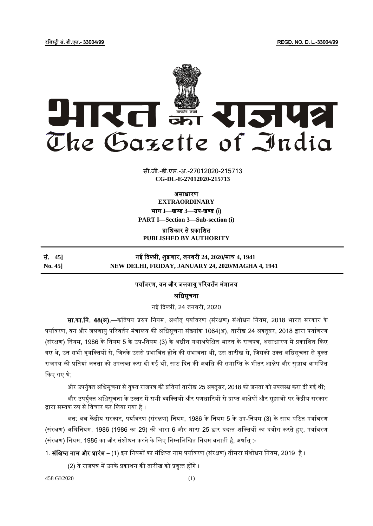रजजस्ट्री सं. डी.एल.- 33004/99 REGD. NO. D. L.-33004/99



सी.जी.-डी.एल.-अ.-27012020-215713 **xxxGIDExxx CG-DL-E-27012020-215713**

असाधारण

**EXTRAORDINARY**

भाग I-बण्ड 3-उप-खण्ड (i)

**PART I—Section 3—Sub-section (i)**

प्राजधकार से प्रकाजित **PUBLISHED BY AUTHORITY**

सं. **45]** नई ददल्ली, िुक्रवार, जनवरी **24, 2020**/माघ **4, 1941 No. 45] NEW DELHI, FRIDAY, JANUARY 24, 2020/MAGHA 4, 1941** 

## पर्यावरण, वन और जलवायु परिवर्तन मंत्रालय

अजधसूचना

नई दिल्ली. 24 जनवरी. 2020

सा.<mark>का.नि. 48(अ).—</mark>कतिपय प्ररुप नियम, अर्थात पर्यावरण (संरक्षण) संशोधन नियम, 2018 भारत सरकार के पर्यावरण, वन और जलवायु परिवर्तन मंत्रालय की अधिसूचना संख्यांक 1064(अ), तारीख 24 अक्तूबर, 2018 द्वारा पर्यावरण (संरक्षण) नियम, 1986 के नियम 5 के उप-नियम (3) के अधीन यथाअपेक्षित भारत के राजपत्र, असाधारण में प्रकाशित किए गए थे, उन सभी वृयक्तियों से, जिनके उससे प्रभावित होने की संभावना थी, उस तारीख से, जिसको उक्त अधिसूचना से युक्त राजपत्र की प्रतियां जनता को उपलब्ध करा दी गई थीं, साठ दिन की अवधि की समाप्ति के भीतर आक्षेप और सुझाव आमंत्रित दकए गए थे;

और उपर्युक्त अधिसूचना से युक्त राजपत्र की प्रतियां तारीख 25 अक्तूबर, 2018 को जनता को उपलब्ध करा दी गईं थी;

और उपर्युक्त अधिसूचना के उत्तर में सभी व्यक्तियों और पणधारियों से प्राप्त आक्षेपों और सुझावों पर केंद्रीय सरकार द्वारा सम्यक रुप से विचार कर लिया गया है ।

अत: अब केंद्रीय सरकार, पर्यावरण (संरक्षण) नियम, 1986 के नियम 5 के उप-नियम (3) के साथ पठित पर्यावरण (संरक्षण) अधिनियम, 1986 (1986 का 29) की धारा 6 और धारा 25 द्वार प्रदत्त शक्तियों का प्रयोग करते हुए, पर्यावरण (संरक्षण) नियम, 1986 का और संशोधन करने के लिए निम्नलिखित नियम बनाती है, अर्थात् :-

1. **संक्षिप्त नाम और प्रारंभ** – (1) इन नियमों का संक्षिप्त नाम पर्यावरण (संरक्षण) तीसरा संशोधन नियम, 2019 है ।

(2) ये राजपत्र में उनके प्रकाशन की तारीख को प्रवृत्त होंगे ।

458 GI/2020 (1)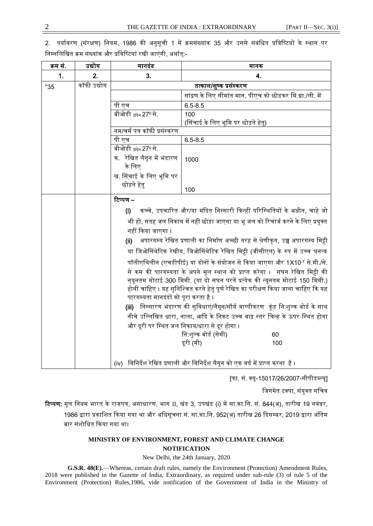2. पर्यावरण (संरक्षण) नियम, 1986 की अनुसूची 1 में क्रमसंख्यांक 35 और उससे संबंधित प्रविष्टियों के स्थान पर निम्नलिखित क्रम संख्यांक और प्रविष्टियां रखी जाएंगी, अर्थात्:-

| क्रम सं. | उद्योग      | मानदंड                                                                                      | मानक                                                       |  |
|----------|-------------|---------------------------------------------------------------------------------------------|------------------------------------------------------------|--|
| 1.       | 2.          | 3.                                                                                          | 4.                                                         |  |
| "35      | कॉफी उद्योग | तत्काल/शुष्क प्रसंस्करण                                                                     |                                                            |  |
|          |             |                                                                                             | सांद्रण के लिए सीमांत मान, पीएच को छोड़कर मि.ग्रा./ली. में |  |
|          |             | पी एच                                                                                       | $6.5 - 8.5$                                                |  |
|          |             | बीओडी <sub>3दिन</sub> 27º से.                                                               | 100                                                        |  |
|          |             |                                                                                             | (सिंचाई के लिए भूमि पर छोड़ने हेतु)                        |  |
|          |             | नम/चर्म पत्र कॉफी प्रसंस्करण                                                                |                                                            |  |
|          |             | पी एच                                                                                       | $6.5 - 8.5$                                                |  |
|          |             | बीओडी <sub>3दिन</sub> 27º से.                                                               |                                                            |  |
|          |             | क. रेखित लैगून में भंडारण                                                                   | 1000                                                       |  |
|          |             | के लिए                                                                                      |                                                            |  |
|          |             | ख. सिंचाई के लिए भूमि पर                                                                    |                                                            |  |
|          |             | छोड़ने हेतु                                                                                 | 100                                                        |  |
|          |             | टिप्पण –                                                                                    |                                                            |  |
|          |             |                                                                                             |                                                            |  |
|          |             | कच्चे, उपचारित और/या मंदित निस्सारी किन्हीं परिस्थितियों के अधीन, चाहे जो<br>(i)            |                                                            |  |
|          |             | भी हो, सतह जल निकाय में नहीं छोड़ा जाएगा या भू जल को रिचार्ज करने के लिए प्रयुक्त           |                                                            |  |
|          |             | नहीं किया जाएगा ।                                                                           |                                                            |  |
|          |             | अपारगम्य रेखित प्रणाली का निर्माण अच्छी तरह से श्रेणीकृत, उच्च अपारगम्य मिट्टी<br>(ii)      |                                                            |  |
|          |             | या जिओसिंथेटिक रेखीय, जिओसिंथेटिक रेखित मिट्टी (जीसीएल) के रुप में उच्च घनत्व               |                                                            |  |
|          |             | पॉलीएथिलीन (एचडीपीई) या दोनों के संयोजन से किया जाएगा और 1X10 <sup>-7</sup> से.मी./से.      |                                                            |  |
|          |             | से कम की पारगम्यता के अपने मूल स्थान को प्राप्त करेगा ।  सघन रेखित मिट्टी की                |                                                            |  |
|          |             | न्यूनतम मोटाई 300 मिमी. (या दो सघन परतें प्रत्येक की न्यूनतम मोटाई 150 मिमी.)               |                                                            |  |
|          |             | होनी चाहिए । यह सुनिश्चित करने हेतु पूर्ण रेखित का परीक्षण किया जाना चाहिए कि यह            |                                                            |  |
|          |             | पारगम्यता मानदंडों को पूरा करता है ।                                                        |                                                            |  |
|          |             | <b>(iii)</b> निस्सारण भंडारण की सुविधाएं/लैगून/सौर्य वाष्पीकरण   कुंड नि:शुल्क बोर्ड के साथ |                                                            |  |
|          |             | नीचे उल्लिखित धारा, नाला, आदि के निकट उच्च बाढ़ स्तर चिन्ह के ऊपर स्थित होगा                |                                                            |  |
|          |             | और दूरी पर स्थित जल निकाय/धारा से दूर होगा ।                                                |                                                            |  |
|          |             |                                                                                             | नि:शुल्क बोर्ड (सेमी)<br>60                                |  |
|          |             |                                                                                             | दूरी (मी)<br>100                                           |  |
|          |             |                                                                                             |                                                            |  |
|          |             | विनिर्देश रेखित प्रणाली और विनिर्देश लैगून को एक वर्ष में प्राप्त करना  है ।<br>(iv)        |                                                            |  |

[फा. सं. क्यू-15017/26/2007-सीपीडब्ल्यू]

जिगमेत टक्पा, संयुक्त सचिव

रिप्पण: मूल नियम भारत के राजपत्र, असाधारण, भाग II, खंड 3, उपखंड (i) में सा.का.नि. सं. 844(अ), तारीख 19 नवंबर, 1986 द्वारा प्रकाशित किया गया था और अधिसूचना सं. सा.का.नि. 952(अ) तारीख 26 दिसम्बर, 2019 द्वारा अंतिम बार संशोधित किया गया था।

## **MINISTRY OF ENVIRONMENT, FOREST AND CLIMATE CHANGE NOTIFICATION**

New Delhi, the 24th January, 2020

**G.S.R. 48(E).**—Whereas, certain draft rules, namely the Environment (Protection) Amendment Rules, 2018 were published in the Gazette of India, Extraordinary, as required under sub-rule (3) of rule 5 of the Environment (Protection) Rules,1986, vide notification of the Government of India in the Ministry of